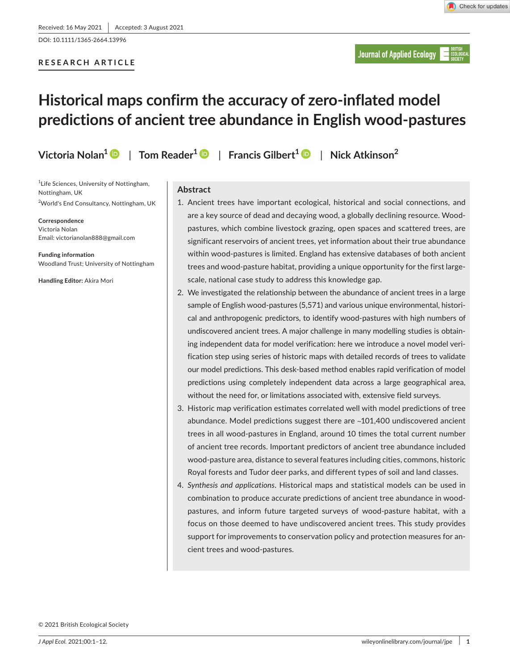DOI: 10.1111/1365-2664.13996

# **RESEARCH ARTICLE**

**Journal of Applied Ecology** 

# **Historical maps confirm the accuracy of zero-inflated model predictions of ancient tree abundance in English wood-pastures**

**Victoria Nolan[1](https://orcid.org/0000-0002-6069-963X)** | **Tom Reader1** | **Francis Gilbert1** | **Nick Atkinson<sup>2</sup>**

<sup>1</sup> Life Sciences, University of Nottingham, Nottingham, UK

2 World's End Consultancy, Nottingham, UK

**Correspondence** Victoria Nolan Email: [victorianolan888@gmail.com](mailto:victorianolan888@gmail.com)

**Funding information** Woodland Trust; University of Nottingham

**Handling Editor:** Akira Mori

# **Abstract**

- 1. Ancient trees have important ecological, historical and social connections, and are a key source of dead and decaying wood, a globally declining resource. Woodpastures, which combine livestock grazing, open spaces and scattered trees, are significant reservoirs of ancient trees, yet information about their true abundance within wood-pastures is limited. England has extensive databases of both ancient trees and wood-pasture habitat, providing a unique opportunity for the first largescale, national case study to address this knowledge gap.
- 2. We investigated the relationship between the abundance of ancient trees in a large sample of English wood-pastures (5,571) and various unique environmental, historical and anthropogenic predictors, to identify wood-pastures with high numbers of undiscovered ancient trees. A major challenge in many modelling studies is obtaining independent data for model verification: here we introduce a novel model verification step using series of historic maps with detailed records of trees to validate our model predictions. This desk-based method enables rapid verification of model predictions using completely independent data across a large geographical area, without the need for, or limitations associated with, extensive field surveys.
- 3. Historic map verification estimates correlated well with model predictions of tree abundance. Model predictions suggest there are ~101,400 undiscovered ancient trees in all wood-pastures in England, around 10 times the total current number of ancient tree records. Important predictors of ancient tree abundance included wood-pasture area, distance to several features including cities, commons, historic Royal forests and Tudor deer parks, and different types of soil and land classes.
- 4. *Synthesis and applications*. Historical maps and statistical models can be used in combination to produce accurate predictions of ancient tree abundance in woodpastures, and inform future targeted surveys of wood-pasture habitat, with a focus on those deemed to have undiscovered ancient trees. This study provides support for improvements to conservation policy and protection measures for ancient trees and wood-pastures.

© 2021 British Ecological Society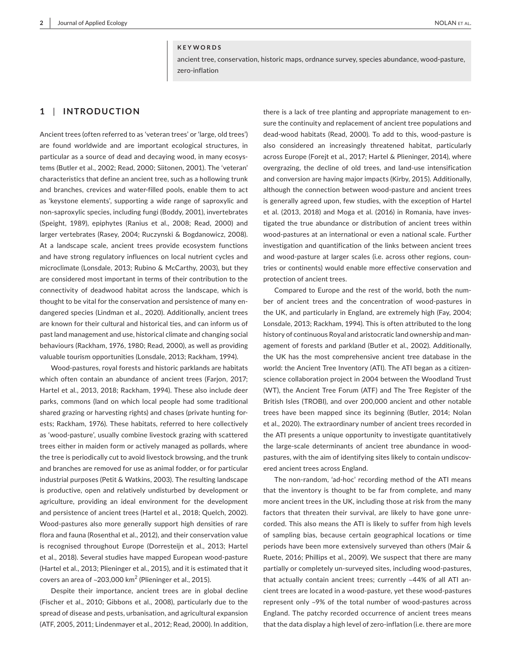#### **KEYWORDS**

ancient tree, conservation, historic maps, ordnance survey, species abundance, wood-pasture, zero-inflation

## **1** | **INTRODUCTION**

Ancient trees (often referred to as 'veteran trees' or 'large, old trees') are found worldwide and are important ecological structures, in particular as a source of dead and decaying wood, in many ecosystems (Butler et al., 2002; Read, 2000; Siitonen, 2001). The 'veteran' characteristics that define an ancient tree, such as a hollowing trunk and branches, crevices and water-filled pools, enable them to act as 'keystone elements', supporting a wide range of saproxylic and non-saproxylic species, including fungi (Boddy, 2001), invertebrates (Speight, 1989), epiphytes (Ranius et al., 2008; Read, 2000) and larger vertebrates (Rasey, 2004; Ruczynski & Bogdanowicz, 2008). At a landscape scale, ancient trees provide ecosystem functions and have strong regulatory influences on local nutrient cycles and microclimate (Lonsdale, 2013; Rubino & McCarthy, 2003), but they are considered most important in terms of their contribution to the connectivity of deadwood habitat across the landscape, which is thought to be vital for the conservation and persistence of many endangered species (Lindman et al., 2020). Additionally, ancient trees are known for their cultural and historical ties, and can inform us of past land management and use, historical climate and changing social behaviours (Rackham, 1976, 1980; Read, 2000), as well as providing valuable tourism opportunities (Lonsdale, 2013; Rackham, 1994).

Wood-pastures, royal forests and historic parklands are habitats which often contain an abundance of ancient trees (Farjon, 2017; Hartel et al., 2013, 2018; Rackham, 1994). These also include deer parks, commons (land on which local people had some traditional shared grazing or harvesting rights) and chases (private hunting forests; Rackham, 1976). These habitats, referred to here collectively as 'wood-pasture', usually combine livestock grazing with scattered trees either in maiden form or actively managed as pollards, where the tree is periodically cut to avoid livestock browsing, and the trunk and branches are removed for use as animal fodder, or for particular industrial purposes (Petit & Watkins, 2003). The resulting landscape is productive, open and relatively undisturbed by development or agriculture, providing an ideal environment for the development and persistence of ancient trees (Hartel et al., 2018; Quelch, 2002). Wood-pastures also more generally support high densities of rare flora and fauna (Rosenthal et al., 2012), and their conservation value is recognised throughout Europe (Dorresteijn et al., 2013; Hartel et al., 2018). Several studies have mapped European wood-pasture (Hartel et al., 2013; Plieninger et al., 2015), and it is estimated that it covers an area of  $\sim$ 203,000 km $^2$  (Plieninger et al., 2015).

Despite their importance, ancient trees are in global decline (Fischer et al., 2010; Gibbons et al., 2008), particularly due to the spread of disease and pests, urbanisation, and agricultural expansion (ATF, 2005, 2011; Lindenmayer et al., 2012; Read, 2000). In addition,

there is a lack of tree planting and appropriate management to ensure the continuity and replacement of ancient tree populations and dead-wood habitats (Read, 2000). To add to this, wood-pasture is also considered an increasingly threatened habitat, particularly across Europe (Forejt et al., 2017; Hartel & Plieninger, 2014), where overgrazing, the decline of old trees, and land-use intensification and conversion are having major impacts (Kirby, 2015). Additionally, although the connection between wood-pasture and ancient trees is generally agreed upon, few studies, with the exception of Hartel et al. (2013, 2018) and Moga et al. (2016) in Romania, have investigated the true abundance or distribution of ancient trees within wood-pastures at an international or even a national scale. Further investigation and quantification of the links between ancient trees and wood-pasture at larger scales (i.e. across other regions, countries or continents) would enable more effective conservation and protection of ancient trees.

Compared to Europe and the rest of the world, both the number of ancient trees and the concentration of wood-pastures in the UK, and particularly in England, are extremely high (Fay, 2004; Lonsdale, 2013; Rackham, 1994). This is often attributed to the long history of continuous Royal and aristocratic land ownership and management of forests and parkland (Butler et al., 2002). Additionally, the UK has the most comprehensive ancient tree database in the world: the Ancient Tree Inventory (ATI). The ATI began as a citizenscience collaboration project in 2004 between the Woodland Trust (WT), the Ancient Tree Forum (ATF) and The Tree Register of the British Isles (TROBI), and over 200,000 ancient and other notable trees have been mapped since its beginning (Butler, 2014; Nolan et al., 2020). The extraordinary number of ancient trees recorded in the ATI presents a unique opportunity to investigate quantitatively the large-scale determinants of ancient tree abundance in woodpastures, with the aim of identifying sites likely to contain undiscovered ancient trees across England.

The non-random, 'ad-hoc' recording method of the ATI means that the inventory is thought to be far from complete, and many more ancient trees in the UK, including those at risk from the many factors that threaten their survival, are likely to have gone unrecorded. This also means the ATI is likely to suffer from high levels of sampling bias, because certain geographical locations or time periods have been more extensively surveyed than others (Mair & Ruete, 2016; Phillips et al., 2009). We suspect that there are many partially or completely un-surveyed sites, including wood-pastures, that actually contain ancient trees; currently ~44% of all ATI ancient trees are located in a wood-pasture, yet these wood-pastures represent only ~9% of the total number of wood-pastures across England. The patchy recorded occurrence of ancient trees means that the data display a high level of zero-inflation (i.e. there are more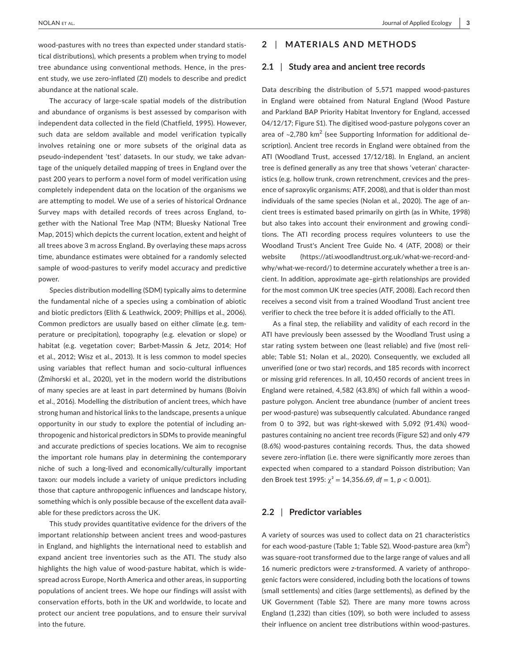**|** NOLAN et al. Journal of Applied Ecology **3**

wood-pastures with no trees than expected under standard statistical distributions), which presents a problem when trying to model tree abundance using conventional methods. Hence, in the present study, we use zero-inflated (ZI) models to describe and predict abundance at the national scale.

The accuracy of large-scale spatial models of the distribution and abundance of organisms is best assessed by comparison with independent data collected in the field (Chatfield, 1995). However, such data are seldom available and model verification typically involves retaining one or more subsets of the original data as pseudo-independent 'test' datasets. In our study, we take advantage of the uniquely detailed mapping of trees in England over the past 200 years to perform a novel form of model verification using completely independent data on the location of the organisms we are attempting to model. We use of a series of historical Ordnance Survey maps with detailed records of trees across England, together with the National Tree Map (NTM; Bluesky National Tree Map, 2015) which depicts the current location, extent and height of all trees above 3 m across England. By overlaying these maps across time, abundance estimates were obtained for a randomly selected sample of wood-pastures to verify model accuracy and predictive power.

Species distribution modelling (SDM) typically aims to determine the fundamental niche of a species using a combination of abiotic and biotic predictors (Elith & Leathwick, 2009; Phillips et al., 2006). Common predictors are usually based on either climate (e.g. temperature or precipitation), topography (e.g. elevation or slope) or habitat (e.g. vegetation cover; Barbet-Massin & Jetz, 2014; Hof et al., 2012; Wisz et al., 2013). It is less common to model species using variables that reflect human and socio-cultural influences (Żmihorski et al., 2020), yet in the modern world the distributions of many species are at least in part determined by humans (Boivin et al., 2016). Modelling the distribution of ancient trees, which have strong human and historical links to the landscape, presents a unique opportunity in our study to explore the potential of including anthropogenic and historical predictors in SDMs to provide meaningful and accurate predictions of species locations. We aim to recognise the important role humans play in determining the contemporary niche of such a long-lived and economically/culturally important taxon: our models include a variety of unique predictors including those that capture anthropogenic influences and landscape history, something which is only possible because of the excellent data available for these predictors across the UK.

This study provides quantitative evidence for the drivers of the important relationship between ancient trees and wood-pastures in England, and highlights the international need to establish and expand ancient tree inventories such as the ATI. The study also highlights the high value of wood-pasture habitat, which is widespread across Europe, North America and other areas, in supporting populations of ancient trees. We hope our findings will assist with conservation efforts, both in the UK and worldwide, to locate and protect our ancient tree populations, and to ensure their survival into the future.

## **2** | **MATERIALS AND METHODS**

#### **2.1** | **Study area and ancient tree records**

Data describing the distribution of 5,571 mapped wood-pastures in England were obtained from Natural England (Wood Pasture and Parkland BAP Priority Habitat Inventory for England, accessed 04/12/17; Figure S1). The digitised wood-pasture polygons cover an area of  $\sim$ 2,780 km<sup>2</sup> (see Supporting Information for additional description). Ancient tree records in England were obtained from the ATI (Woodland Trust, accessed 17/12/18). In England, an ancient tree is defined generally as any tree that shows 'veteran' characteristics (e.g. hollow trunk, crown retrenchment, crevices and the presence of saproxylic organisms; ATF, 2008), and that is older than most individuals of the same species (Nolan et al., 2020). The age of ancient trees is estimated based primarily on girth (as in White, 1998) but also takes into account their environment and growing conditions. The ATI recording process requires volunteers to use the Woodland Trust's Ancient Tree Guide No. 4 (ATF, 2008) or their website ([https://ati.woodlandtrust.org.uk/what-we-record-and](https://ati.woodlandtrust.org.uk/what-we-record-and-why/what-we-record/)[why/what-we-record/](https://ati.woodlandtrust.org.uk/what-we-record-and-why/what-we-record/)) to determine accurately whether a tree is ancient. In addition, approximate age–girth relationships are provided for the most common UK tree species (ATF, 2008). Each record then receives a second visit from a trained Woodland Trust ancient tree verifier to check the tree before it is added officially to the ATI.

As a final step, the reliability and validity of each record in the ATI have previously been assessed by the Woodland Trust using a star rating system between one (least reliable) and five (most reliable; Table S1; Nolan et al., 2020). Consequently, we excluded all unverified (one or two star) records, and 185 records with incorrect or missing grid references. In all, 10,450 records of ancient trees in England were retained, 4,582 (43.8%) of which fall within a woodpasture polygon. Ancient tree abundance (number of ancient trees per wood-pasture) was subsequently calculated. Abundance ranged from 0 to 392, but was right-skewed with 5,092 (91.4%) woodpastures containing no ancient tree records (Figure S2) and only 479 (8.6%) wood-pastures containing records. Thus, the data showed severe zero-inflation (i.e. there were significantly more zeroes than expected when compared to a standard Poisson distribution; Van den Broek test 1995: χ² = 14,356.69, *df* = 1, *p* < 0.001).

## **2.2** | **Predictor variables**

A variety of sources was used to collect data on 21 characteristics for each wood-pasture (Table 1; Table S2). Wood-pasture area ( $km^2$ ) was square-root transformed due to the large range of values and all 16 numeric predictors were *z*-transformed. A variety of anthropogenic factors were considered, including both the locations of towns (small settlements) and cities (large settlements), as defined by the UK Government (Table S2). There are many more towns across England (1,232) than cities (109), so both were included to assess their influence on ancient tree distributions within wood-pastures.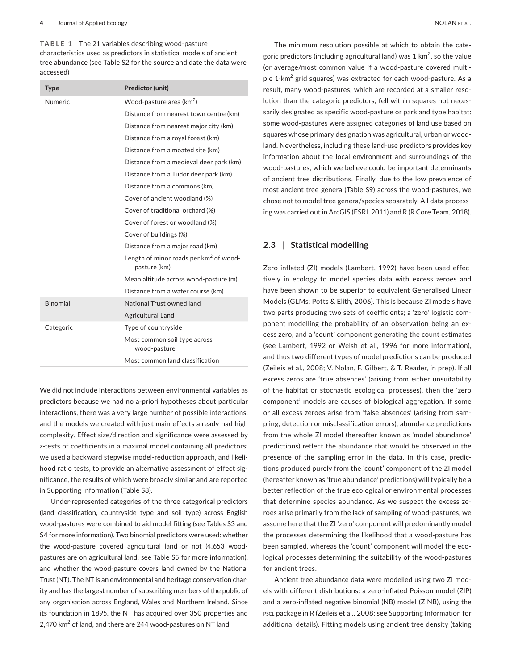**TABLE 1** The 21 variables describing wood-pasture characteristics used as predictors in statistical models of ancient tree abundance (see Table S2 for the source and date the data were accessed)

| <b>Type</b>     | Predictor (unit)                                                   |
|-----------------|--------------------------------------------------------------------|
| Numeric         | Wood-pasture area (km <sup>2</sup> )                               |
|                 | Distance from nearest town centre (km)                             |
|                 | Distance from nearest major city (km)                              |
|                 | Distance from a royal forest (km)                                  |
|                 | Distance from a moated site (km)                                   |
|                 | Distance from a medieval deer park (km)                            |
|                 | Distance from a Tudor deer park (km)                               |
|                 | Distance from a commons (km)                                       |
|                 | Cover of ancient woodland (%)                                      |
|                 | Cover of traditional orchard (%)                                   |
|                 | Cover of forest or woodland (%)                                    |
|                 | Cover of buildings (%)                                             |
|                 | Distance from a major road (km)                                    |
|                 | Length of minor roads per km <sup>2</sup> of wood-<br>pasture (km) |
|                 | Mean altitude across wood-pasture (m)                              |
|                 | Distance from a water course (km)                                  |
| <b>Binomial</b> | National Trust owned land                                          |
|                 | Agricultural Land                                                  |
| Categoric       | Type of countryside                                                |
|                 | Most common soil type across<br>wood-pasture                       |
|                 | Most common land classification                                    |

We did not include interactions between environmental variables as predictors because we had no a-priori hypotheses about particular interactions, there was a very large number of possible interactions, and the models we created with just main effects already had high complexity. Effect size/direction and significance were assessed by *z*-tests of coefficients in a maximal model containing all predictors; we used a backward stepwise model-reduction approach, and likelihood ratio tests, to provide an alternative assessment of effect significance, the results of which were broadly similar and are reported in Supporting Information (Table S8).

Under-represented categories of the three categorical predictors (land classification, countryside type and soil type) across English wood-pastures were combined to aid model fitting (see Tables S3 and S4 for more information). Two binomial predictors were used: whether the wood-pasture covered agricultural land or not (4,653 woodpastures are on agricultural land; see Table S5 for more information), and whether the wood-pasture covers land owned by the National Trust (NT). The NT is an environmental and heritage conservation charity and has the largest number of subscribing members of the public of any organisation across England, Wales and Northern Ireland. Since its foundation in 1895, the NT has acquired over 350 properties and 2,470 km $^2$  of land, and there are 244 wood-pastures on NT land.

The minimum resolution possible at which to obtain the categoric predictors (including agricultural land) was 1 km<sup>2</sup>, so the value (or average/most common value if a wood-pasture covered multiple 1-km<sup>2</sup> grid squares) was extracted for each wood-pasture. As a result, many wood-pastures, which are recorded at a smaller resolution than the categoric predictors, fell within squares not necessarily designated as specific wood-pasture or parkland type habitat: some wood-pastures were assigned categories of land use based on squares whose primary designation was agricultural, urban or woodland. Nevertheless, including these land-use predictors provides key information about the local environment and surroundings of the wood-pastures, which we believe could be important determinants of ancient tree distributions. Finally, due to the low prevalence of most ancient tree genera (Table S9) across the wood-pastures, we chose not to model tree genera/species separately. All data processing was carried out in ArcGIS (ESRI, 2011) and R (R Core Team, 2018).

### **2.3** | **Statistical modelling**

Zero-inflated (ZI) models (Lambert, 1992) have been used effectively in ecology to model species data with excess zeroes and have been shown to be superior to equivalent Generalised Linear Models (GLMs; Potts & Elith, 2006). This is because ZI models have two parts producing two sets of coefficients; a 'zero' logistic component modelling the probability of an observation being an excess zero, and a 'count' component generating the count estimates (see Lambert, 1992 or Welsh et al., 1996 for more information), and thus two different types of model predictions can be produced (Zeileis et al., 2008; V. Nolan, F. Gilbert, & T. Reader, in prep). If all excess zeros are 'true absences' (arising from either unsuitability of the habitat or stochastic ecological processes), then the 'zero component' models are causes of biological aggregation. If some or all excess zeroes arise from 'false absences' (arising from sampling, detection or misclassification errors), abundance predictions from the whole ZI model (hereafter known as 'model abundance' predictions) reflect the abundance that would be observed in the presence of the sampling error in the data. In this case, predictions produced purely from the 'count' component of the ZI model (hereafter known as 'true abundance' predictions) will typically be a better reflection of the true ecological or environmental processes that determine species abundance. As we suspect the excess zeroes arise primarily from the lack of sampling of wood-pastures, we assume here that the ZI 'zero' component will predominantly model the processes determining the likelihood that a wood-pasture has been sampled, whereas the 'count' component will model the ecological processes determining the suitability of the wood-pastures for ancient trees.

Ancient tree abundance data were modelled using two ZI models with different distributions: a zero-inflated Poisson model (ZIP) and a zero-inflated negative binomial (NB) model (ZINB), using the pscl package in R (Zeileis et al., 2008; see Supporting Information for additional details). Fitting models using ancient tree density (taking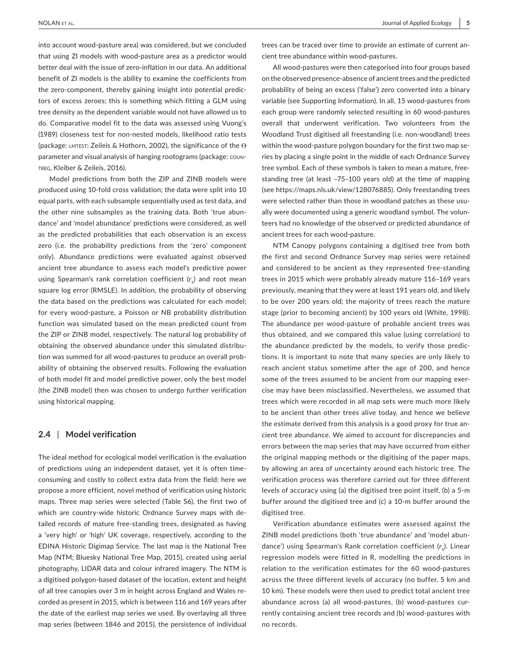into account wood-pasture area) was considered, but we concluded that using ZI models with wood-pasture area as a predictor would better deal with the issue of zero-inflation in our data. An additional benefit of ZI models is the ability to examine the coefficients from the zero-component, thereby gaining insight into potential predictors of excess zeroes; this is something which fitting a GLM using tree density as the dependent variable would not have allowed us to do. Comparative model fit to the data was assessed using Vuong's (1989) closeness test for non-nested models, likelihood ratio tests (package: lmtest: Zeileis & Hothorn, 2002), the significance of the ϴ parameter and visual analysis of hanging rootograms (package: countreg, Kleiber & Zeileis, 2016).

Model predictions from both the ZIP and ZINB models were produced using 10-fold cross validation; the data were split into 10 equal parts, with each subsample sequentially used as test data, and the other nine subsamples as the training data. Both 'true abundance' and 'model abundance' predictions were considered, as well as the predicted probabilities that each observation is an excess zero (i.e. the probability predictions from the 'zero' component only). Abundance predictions were evaluated against observed ancient tree abundance to assess each model's predictive power using Spearman's rank correlation coefficient (r<sub>s</sub>) and root mean square log error (RMSLE). In addition, the probability of observing the data based on the predictions was calculated for each model; for every wood-pasture, a Poisson or NB probability distribution function was simulated based on the mean predicted count from the ZIP or ZINB model, respectively. The natural log probability of obtaining the observed abundance under this simulated distribution was summed for all wood-pastures to produce an overall probability of obtaining the observed results. Following the evaluation of both model fit and model predictive power, only the best model (the ZINB model) then was chosen to undergo further verification using historical mapping.

#### **2.4** | **Model verification**

The ideal method for ecological model verification is the evaluation of predictions using an independent dataset, yet it is often timeconsuming and costly to collect extra data from the field; here we propose a more efficient, novel method of verification using historic maps. Three map series were selected (Table S6), the first two of which are country-wide historic Ordnance Survey maps with detailed records of mature free-standing trees, designated as having a 'very high' or 'high' UK coverage, respectively, according to the EDINA Historic Digimap Service. The last map is the National Tree Map (NTM; Bluesky National Tree Map, 2015), created using aerial photography, LIDAR data and colour infrared imagery. The NTM is a digitised polygon-based dataset of the location, extent and height of all tree canopies over 3 m in height across England and Wales recorded as present in 2015, which is between 116 and 169 years after the date of the earliest map series we used. By overlaying all three map series (between 1846 and 2015), the persistence of individual

trees can be traced over time to provide an estimate of current ancient tree abundance within wood-pastures.

All wood-pastures were then categorised into four groups based on the observed presence-absence of ancient trees and the predicted probability of being an excess ('false') zero converted into a binary variable (see Supporting Information). In all, 15 wood-pastures from each group were randomly selected resulting in 60 wood-pastures overall that underwent verification. Two volunteers from the Woodland Trust digitised all freestanding (i.e. non-woodland) trees within the wood-pasture polygon boundary for the first two map series by placing a single point in the middle of each Ordnance Survey tree symbol. Each of these symbols is taken to mean a mature, freestanding tree (at least ~75–100 years old) at the time of mapping (see<https://maps.nls.uk/view/128076885>). Only freestanding trees were selected rather than those in woodland patches as these usually were documented using a generic woodland symbol. The volunteers had no knowledge of the observed or predicted abundance of ancient trees for each wood-pasture.

NTM Canopy polygons containing a digitised tree from both the first and second Ordnance Survey map series were retained and considered to be ancient as they represented free-standing trees in 2015 which were probably already mature 116–169 years previously, meaning that they were at least 191 years old, and likely to be over 200 years old; the majority of trees reach the mature stage (prior to becoming ancient) by 100 years old (White, 1998). The abundance per wood-pasture of probable ancient trees was thus obtained, and we compared this value (using correlation) to the abundance predicted by the models, to verify those predictions. It is important to note that many species are only likely to reach ancient status sometime after the age of 200, and hence some of the trees assumed to be ancient from our mapping exercise may have been misclassified. Nevertheless, we assumed that trees which were recorded in all map sets were much more likely to be ancient than other trees alive today, and hence we believe the estimate derived from this analysis is a good proxy for true ancient tree abundance. We aimed to account for discrepancies and errors between the map series that may have occurred from either the original mapping methods or the digitising of the paper maps, by allowing an area of uncertainty around each historic tree. The verification process was therefore carried out for three different levels of accuracy using (a) the digitised tree point itself, (b) a 5-m buffer around the digitised tree and (c) a 10-m buffer around the digitised tree.

Verification abundance estimates were assessed against the ZINB model predictions (both 'true abundance' and 'model abundance') using Spearman's Rank correlation coefficient (r<sub>s</sub>). Linear regression models were fitted in R, modelling the predictions in relation to the verification estimates for the 60 wood-pastures across the three different levels of accuracy (no buffer, 5 km and 10 km). These models were then used to predict total ancient tree abundance across (a) all wood-pastures, (b) wood-pastures currently containing ancient tree records and (b) wood-pastures with no records.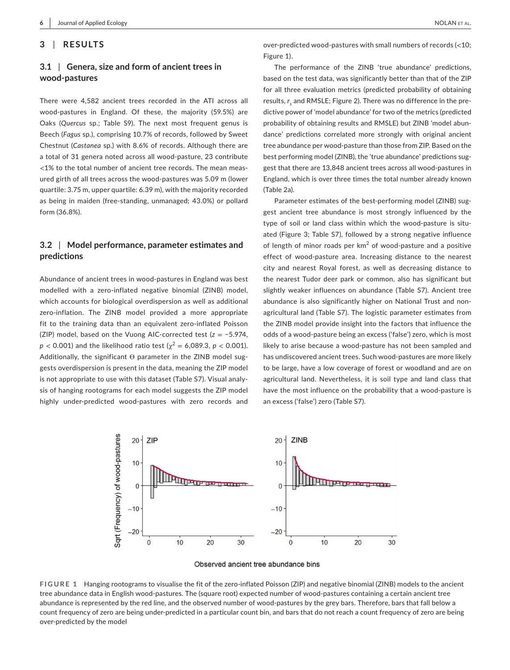#### **3** | **RESULTS**

# **3.1** | **Genera, size and form of ancient trees in wood-pastures**

There were 4,582 ancient trees recorded in the ATI across all wood-pastures in England. Of these, the majority (59.5%) are Oaks (*Quercus* sp.; Table S9). The next most frequent genus is Beech (*Fagus* sp.), comprising 10.7% of records, followed by Sweet Chestnut (*Castanea* sp.) with 8.6% of records. Although there are a total of 31 genera noted across all wood-pasture, 23 contribute <1% to the total number of ancient tree records. The mean measured girth of all trees across the wood-pastures was 5.09 m (lower quartile: 3.75 m, upper quartile: 6.39 m), with the majority recorded as being in maiden (free-standing, unmanaged; 43.0%) or pollard form (36.8%).

# **3.2** | **Model performance, parameter estimates and predictions**

Abundance of ancient trees in wood-pastures in England was best modelled with a zero-inflated negative binomial (ZINB) model, which accounts for biological overdispersion as well as additional zero-inflation. The ZINB model provided a more appropriate fit to the training data than an equivalent zero-inflated Poisson (ZIP) model, based on the Vuong AIC-corrected test (*z* = −5.974,  $p$  < 0.001) and the likelihood ratio test ( $\chi^2$  = 6,089.3,  $p$  < 0.001). Additionally, the significant ϴ parameter in the ZINB model suggests overdispersion is present in the data, meaning the ZIP model is not appropriate to use with this dataset (Table S7). Visual analysis of hanging rootograms for each model suggests the ZIP model highly under-predicted wood-pastures with zero records and over-predicted wood-pastures with small numbers of records (<10; Figure 1).

The performance of the ZINB 'true abundance' predictions, based on the test data, was significantly better than that of the ZIP for all three evaluation metrics (predicted probability of obtaining results,  $r_{\rm _S}$  and RMSLE; Figure 2). There was no difference in the predictive power of 'model abundance' for two of the metrics (predicted probability of obtaining results and RMSLE) but ZINB 'model abundance' predictions correlated more strongly with original ancient tree abundance per wood-pasture than those from ZIP. Based on the best performing model (ZINB), the 'true abundance' predictions suggest that there are 13,848 ancient trees across all wood-pastures in England, which is over three times the total number already known (Table 2a).

Parameter estimates of the best-performing model (ZINB) suggest ancient tree abundance is most strongly influenced by the type of soil or land class within which the wood-pasture is situated (Figure 3; Table S7), followed by a strong negative influence of length of minor roads per  $km^2$  of wood-pasture and a positive effect of wood-pasture area. Increasing distance to the nearest city and nearest Royal forest, as well as decreasing distance to the nearest Tudor deer park or common, also has significant but slightly weaker influences on abundance (Table S7). Ancient tree abundance is also significantly higher on National Trust and nonagricultural land (Table S7). The logistic parameter estimates from the ZINB model provide insight into the factors that influence the odds of a wood-pasture being an excess ('false') zero, which is most likely to arise because a wood-pasture has not been sampled and has undiscovered ancient trees. Such wood-pastures are more likely to be large, have a low coverage of forest or woodland and are on agricultural land. Nevertheless, it is soil type and land class that have the most influence on the probability that a wood-pasture is an excess ('false') zero (Table S7).





**FIGURE 1** Hanging rootograms to visualise the fit of the zero-inflated Poisson (ZIP) and negative binomial (ZINB) models to the ancient tree abundance data in English wood-pastures. The (square root) expected number of wood-pastures containing a certain ancient tree abundance is represented by the red line, and the observed number of wood-pastures by the grey bars. Therefore, bars that fall below a count frequency of zero are being under-predicted in a particular count bin, and bars that do not reach a count frequency of zero are being over-predicted by the model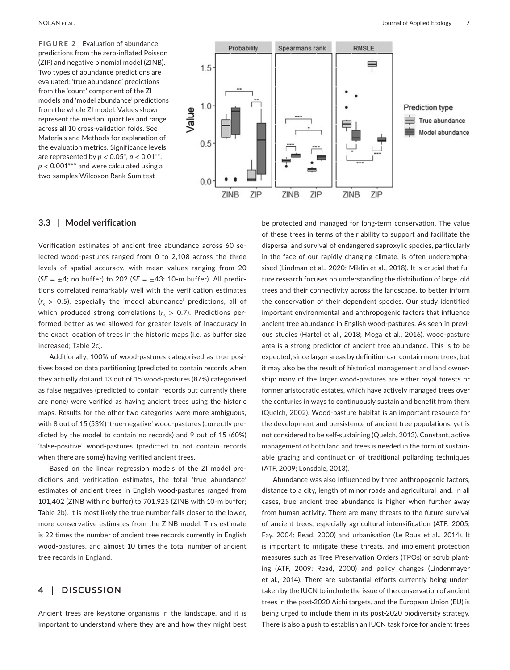**FIGURE 2** Evaluation of abundance predictions from the zero-inflated Poisson (ZIP) and negative binomial model (ZINB). Two types of abundance predictions are evaluated: 'true abundance' predictions from the 'count' component of the ZI models and 'model abundance' predictions from the whole ZI model. Values shown represent the median, quartiles and range across all 10 cross-validation folds. See Materials and Methods for explanation of the evaluation metrics. Significance levels are represented by  $p < 0.05^*$ ,  $p < 0.01^{**}$ , *p* < 0.001\*\*\* and were calculated using a two-samples Wilcoxon Rank-Sum test



#### **3.3** | **Model verification**

Verification estimates of ancient tree abundance across 60 selected wood-pastures ranged from 0 to 2,108 across the three levels of spatial accuracy, with mean values ranging from 20  $(SE = \pm 4$ ; no buffer) to 202 (*SE* =  $\pm 43$ ; 10-m buffer). All predictions correlated remarkably well with the verification estimates  $(r<sub>s</sub> > 0.5)$ , especially the 'model abundance' predictions, all of which produced strong correlations  $(r<sub>s</sub> > 0.7)$ . Predictions performed better as we allowed for greater levels of inaccuracy in the exact location of trees in the historic maps (i.e. as buffer size increased; Table 2c).

Additionally, 100% of wood-pastures categorised as true positives based on data partitioning (predicted to contain records when they actually do) and 13 out of 15 wood-pastures (87%) categorised as false negatives (predicted to contain records but currently there are none) were verified as having ancient trees using the historic maps. Results for the other two categories were more ambiguous, with 8 out of 15 (53%) 'true-negative' wood-pastures (correctly predicted by the model to contain no records) and 9 out of 15 (60%) 'false-positive' wood-pastures (predicted to not contain records when there are some) having verified ancient trees.

Based on the linear regression models of the ZI model predictions and verification estimates, the total 'true abundance' estimates of ancient trees in English wood-pastures ranged from 101,402 (ZINB with no buffer) to 701,925 (ZINB with 10-m buffer; Table 2b). It is most likely the true number falls closer to the lower, more conservative estimates from the ZINB model. This estimate is 22 times the number of ancient tree records currently in English wood-pastures, and almost 10 times the total number of ancient tree records in England.

## **4** | **DISCUSSION**

Ancient trees are keystone organisms in the landscape, and it is important to understand where they are and how they might best be protected and managed for long-term conservation. The value of these trees in terms of their ability to support and facilitate the dispersal and survival of endangered saproxylic species, particularly in the face of our rapidly changing climate, is often underemphasised (Lindman et al., 2020; Miklín et al., 2018). It is crucial that future research focuses on understanding the distribution of large, old trees and their connectivity across the landscape, to better inform the conservation of their dependent species. Our study identified important environmental and anthropogenic factors that influence ancient tree abundance in English wood-pastures. As seen in previous studies (Hartel et al., 2018; Moga et al., 2016), wood-pasture area is a strong predictor of ancient tree abundance. This is to be expected, since larger areas by definition can contain more trees, but it may also be the result of historical management and land ownership: many of the larger wood-pastures are either royal forests or former aristocratic estates, which have actively managed trees over the centuries in ways to continuously sustain and benefit from them (Quelch, 2002). Wood-pasture habitat is an important resource for the development and persistence of ancient tree populations, yet is not considered to be self-sustaining (Quelch, 2013). Constant, active management of both land and trees is needed in the form of sustainable grazing and continuation of traditional pollarding techniques (ATF, 2009; Lonsdale, 2013).

Abundance was also influenced by three anthropogenic factors, distance to a city, length of minor roads and agricultural land. In all cases, true ancient tree abundance is higher when further away from human activity. There are many threats to the future survival of ancient trees, especially agricultural intensification (ATF, 2005; Fay, 2004; Read, 2000) and urbanisation (Le Roux et al., 2014). It is important to mitigate these threats, and implement protection measures such as Tree Preservation Orders (TPOs) or scrub planting (ATF, 2009; Read, 2000) and policy changes (Lindenmayer et al., 2014). There are substantial efforts currently being undertaken by the IUCN to include the issue of the conservation of ancient trees in the post-2020 Aichi targets, and the European Union (EU) is being urged to include them in its post-2020 biodiversity strategy. There is also a push to establish an IUCN task force for ancient trees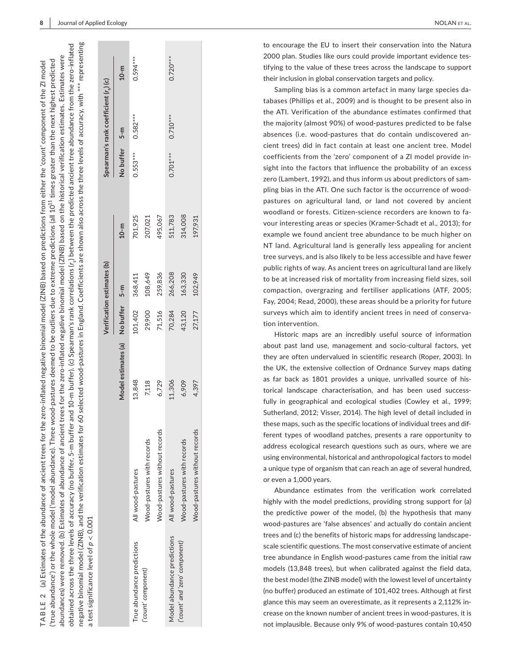historical verification estimates. Estimates were

on the h

(ZINB) based

|                                | a test significance level of $p < 0.001$ |                                   |         | Verification estimates (b) |         |               | Spearman's rank coefficient $(r_c)(c)$ |            |
|--------------------------------|------------------------------------------|-----------------------------------|---------|----------------------------|---------|---------------|----------------------------------------|------------|
|                                |                                          | Model estimates (a) No buffer 5-m |         |                            | $10-m$  | No buffer 5-m |                                        | $10-m$     |
| True abundance predictions     | All wood-pastures                        | 13,848                            | 101,402 | 368,411                    | 701,925 | $0.553***$    | $0.582***$                             | $0.594***$ |
| ('count' component)            | Wood-pastures with records               | 7,118                             | 29,900  | 108,649                    | 207,021 |               |                                        |            |
|                                | Wood-pastures without records            | 6,729                             | 71,516  | 259,836                    | 495,067 |               |                                        |            |
| Model abundance predictions    | All wood-pastures                        | 11,306                            | 70,284  | 266,208                    | 511,783 | $0.701***$    | $0.710***$                             | $0.720***$ |
| ('count' and 'zero' component) | Wood-pastures with records               | 6,909                             | 43,120  | 163,330                    | 314,008 |               |                                        |            |
|                                | Wood-pastures without records            | 4,397                             | 27,177  | 102,949                    | 197,931 |               |                                        |            |

**TABLE 2** 

TABLE<sub>2</sub>

(a) Estimates of the abundance of ancient trees for the zero-inflated negative binomial model (ZINB) based on predictions from either the 'count' component of the ZI model

(a) Estimates of the abundance of ancient trees for the zero-inflated negative binomial model (ZINB) based on predictions from either the 'count' component of the ZI model

('true abundance') or the whole model ('model abundance). Three wood-pastures deemed to be outliers due to extreme predictions (all 10 $^{11}$  times greater than the next highest predicted abundances) were removed. (b) Estimates of abundance of ancient trees for the zero-inflated negative binomial model (ZINB) based on the historical verification estimates. Estimates were

abundance of ancient trees for the zero-inflated negative binomial model

Estimates of a

 $\widehat{e}$ 

abundances) were removed.

('true abundance') or the whole model ('model abundance). Three wood-pastures deemed to be outliers due to extreme predictions (all 10<sup>11</sup> times greater than the next highest predicted

y NOLAN et al. (2002) and the state of the state of the state of the state of the NOLAN et al. (2014) and the state of the state of the state of the state of the state of the state of the state of the state of the state of **NOLAN ET AL.** 

> to encourage the EU to insert their conservation into the Natura 2000 plan. Studies like ours could provide important evidence tes tifying to the value of these trees across the landscape to support their inclusion in global conservation targets and policy.

> Sampling bias is a common artefact in many large species da tabases (Phillips et al., 2009) and is thought to be present also in the ATI. Verification of the abundance estimates confirmed that the majority (almost 90%) of wood-pastures predicted to be false absences (i.e. wood-pastures that do contain undiscovered an cient trees) did in fact contain at least one ancient tree. Model coefficients from the 'zero' component of a ZI model provide in sight into the factors that influence the probability of an excess zero (Lambert, 1992), and thus inform us about predictors of sam pling bias in the ATI. One such factor is the occurrence of woodpastures on agricultural land, or land not covered by ancient woodland or forests. Citizen-science recorders are known to fa vour interesting areas or species (Kramer-Schadt et al., 2013); for example we found ancient tree abundance to be much higher on NT land. Agricultural land is generally less appealing for ancient tree surveys, and is also likely to be less accessible and have fewer public rights of way. As ancient trees on agricultural land are likely to be at increased risk of mortality from increasing field sizes, soil compaction, overgrazing and fertiliser applications (ATF, 2005; Fay, 2004; Read, 2000), these areas should be a priority for future surveys which aim to identify ancient trees in need of conserva tion intervention.

> Historic maps are an incredibly useful source of information about past land use, management and socio-cultural factors, yet they are often undervalued in scientific research (Roper, 2003). In the UK, the extensive collection of Ordnance Survey maps dating as far back as 1801 provides a unique, unrivalled source of his torical landscape characterisation, and has been used success fully in geographical and ecological studies (Cowley et al., 1999; Sutherland, 2012; Visser, 2014). The high level of detail included in these maps, such as the specific locations of individual trees and dif ferent types of woodland patches, presents a rare opportunity to address ecological research questions such as ours, where we are using environmental, historical and anthropological factors to model a unique type of organism that can reach an age of several hundred, or even a 1,000 years.

> Abundance estimates from the verification work correlated highly with the model predictions, providing strong support for (a) the predictive power of the model, (b) the hypothesis that many wood-pastures are 'false absences' and actually do contain ancient trees and (c) the benefits of historic maps for addressing landscapescale scientific questions. The most conservative estimate of ancient tree abundance in English wood-pastures came from the initial raw models (13,848 trees), but when calibrated against the field data, the best model (the ZINB model) with the lowest level of uncertainty (no buffer) produced an estimate of 101,402 trees. Although at first glance this may seem an overestimate, as it represents a 2,112% in crease on the known number of ancient trees in wood-pastures, it is not implausible. Because only 9% of wood-pastures contain 10,450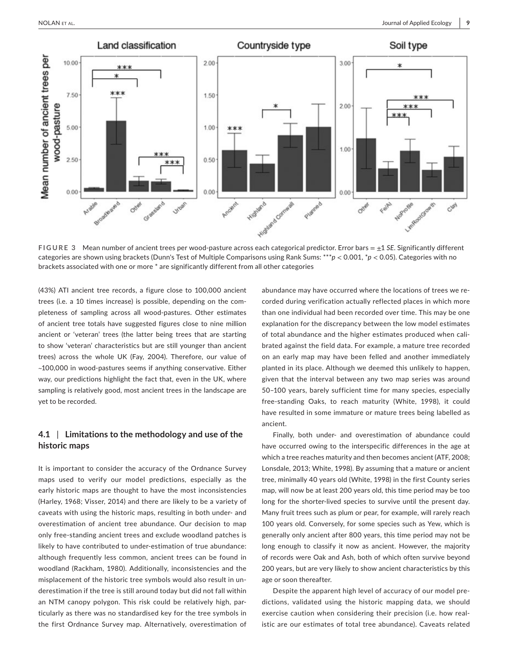

**FIGURE 3** Mean number of ancient trees per wood-pasture across each categorical predictor. Error bars = ±1 *SE*. Significantly different categories are shown using brackets (Dunn's Test of Multiple Comparisons using Rank Sums: \*\*\**p* < 0.001, \**p* < 0.05). Categories with no brackets associated with one or more \* are significantly different from all other categories

(43%) ATI ancient tree records, a figure close to 100,000 ancient trees (i.e. a 10 times increase) is possible, depending on the completeness of sampling across all wood-pastures. Other estimates of ancient tree totals have suggested figures close to nine million ancient or 'veteran' trees (the latter being trees that are starting to show 'veteran' characteristics but are still younger than ancient trees) across the whole UK (Fay, 2004). Therefore, our value of ~100,000 in wood-pastures seems if anything conservative. Either way, our predictions highlight the fact that, even in the UK, where sampling is relatively good, most ancient trees in the landscape are yet to be recorded.

## **4.1** | **Limitations to the methodology and use of the historic maps**

It is important to consider the accuracy of the Ordnance Survey maps used to verify our model predictions, especially as the early historic maps are thought to have the most inconsistencies (Harley, 1968; Visser, 2014) and there are likely to be a variety of caveats with using the historic maps, resulting in both under- and overestimation of ancient tree abundance. Our decision to map only free-standing ancient trees and exclude woodland patches is likely to have contributed to under-estimation of true abundance: although frequently less common, ancient trees can be found in woodland (Rackham, 1980). Additionally, inconsistencies and the misplacement of the historic tree symbols would also result in underestimation if the tree is still around today but did not fall within an NTM canopy polygon. This risk could be relatively high, particularly as there was no standardised key for the tree symbols in the first Ordnance Survey map. Alternatively, overestimation of

abundance may have occurred where the locations of trees we recorded during verification actually reflected places in which more than one individual had been recorded over time. This may be one explanation for the discrepancy between the low model estimates of total abundance and the higher estimates produced when calibrated against the field data. For example, a mature tree recorded on an early map may have been felled and another immediately planted in its place. Although we deemed this unlikely to happen, given that the interval between any two map series was around 50–100 years, barely sufficient time for many species, especially free-standing Oaks, to reach maturity (White, 1998), it could have resulted in some immature or mature trees being labelled as ancient.

Finally, both under- and overestimation of abundance could have occurred owing to the interspecific differences in the age at which a tree reaches maturity and then becomes ancient (ATF, 2008; Lonsdale, 2013; White, 1998). By assuming that a mature or ancient tree, minimally 40 years old (White, 1998) in the first County series map, will now be at least 200 years old, this time period may be too long for the shorter-lived species to survive until the present day. Many fruit trees such as plum or pear, for example, will rarely reach 100 years old. Conversely, for some species such as Yew, which is generally only ancient after 800 years, this time period may not be long enough to classify it now as ancient. However, the majority of records were Oak and Ash, both of which often survive beyond 200 years, but are very likely to show ancient characteristics by this age or soon thereafter.

Despite the apparent high level of accuracy of our model predictions, validated using the historic mapping data, we should exercise caution when considering their precision (i.e. how realistic are our estimates of total tree abundance). Caveats related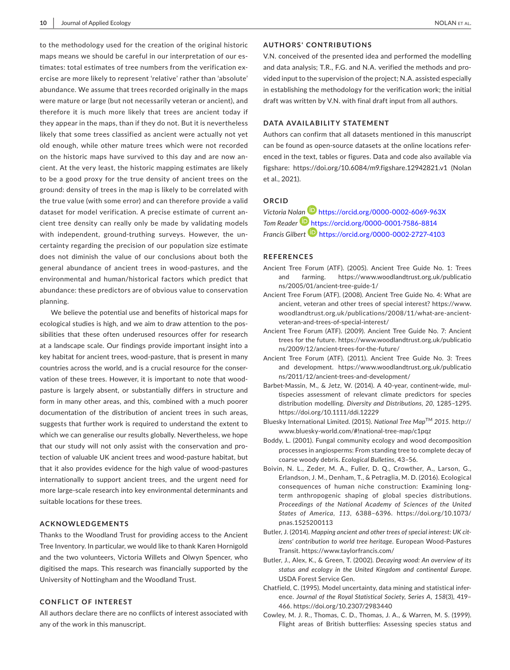to the methodology used for the creation of the original historic maps means we should be careful in our interpretation of our estimates: total estimates of tree numbers from the verification exercise are more likely to represent 'relative' rather than 'absolute' abundance. We assume that trees recorded originally in the maps were mature or large (but not necessarily veteran or ancient), and therefore it is much more likely that trees are ancient today if they appear in the maps, than if they do not. But it is nevertheless likely that some trees classified as ancient were actually not yet old enough, while other mature trees which were not recorded on the historic maps have survived to this day and are now ancient. At the very least, the historic mapping estimates are likely to be a good proxy for the true density of ancient trees on the ground: density of trees in the map is likely to be correlated with the true value (with some error) and can therefore provide a valid dataset for model verification. A precise estimate of current ancient tree density can really only be made by validating models with independent, ground-truthing surveys. However, the uncertainty regarding the precision of our population size estimate does not diminish the value of our conclusions about both the general abundance of ancient trees in wood-pastures, and the environmental and human/historical factors which predict that abundance: these predictors are of obvious value to conservation planning.

We believe the potential use and benefits of historical maps for ecological studies is high, and we aim to draw attention to the possibilities that these often underused resources offer for research at a landscape scale. Our findings provide important insight into a key habitat for ancient trees, wood-pasture, that is present in many countries across the world, and is a crucial resource for the conservation of these trees. However, it is important to note that woodpasture is largely absent, or substantially differs in structure and form in many other areas, and this, combined with a much poorer documentation of the distribution of ancient trees in such areas, suggests that further work is required to understand the extent to which we can generalise our results globally. Nevertheless, we hope that our study will not only assist with the conservation and protection of valuable UK ancient trees and wood-pasture habitat, but that it also provides evidence for the high value of wood-pastures internationally to support ancient trees, and the urgent need for more large-scale research into key environmental determinants and suitable locations for these trees.

#### **ACKNOWLEDGEMENTS**

Thanks to the Woodland Trust for providing access to the Ancient Tree Inventory. In particular, we would like to thank Karen Hornigold and the two volunteers, Victoria Willets and Olwyn Spencer, who digitised the maps. This research was financially supported by the University of Nottingham and the Woodland Trust.

#### **CONFLICT OF INTEREST**

All authors declare there are no conflicts of interest associated with any of the work in this manuscript.

#### **AUTHORS' CONTRIBUTIONS**

V.N. conceived of the presented idea and performed the modelling and data analysis; T.R., F.G. and N.A. verified the methods and provided input to the supervision of the project; N.A. assisted especially in establishing the methodology for the verification work; the initial draft was written by V.N. with final draft input from all authors.

#### **DATA AVAILABILITY STATEMENT**

Authors can confirm that all datasets mentioned in this manuscript can be found as open-source datasets at the online locations referenced in the text, tables or figures. Data and code also available via figshare: <https://doi.org/10.6084/m9.figshare.12942821.v1>(Nolan et al., 2021).

## **ORCID**

*Victoria No[lan](https://orcid.org/0000-0001-7586-8814)* <https://orcid.org/0000-0002-6069-963X> *Tom Reader* <https://orcid.org/0000-0001-7586-8814> *Francis Gilbert* <https://orcid.org/0000-0002-2727-4103>

#### **REFERENCES**

- Ancient Tree Forum (ATF). (2005). Ancient Tree Guide No. 1: Trees and farming. [https://www.woodlandtrust.org.uk/publicatio](https://www.woodlandtrust.org.uk/publications/2005/01/ancient-tree-guide-1/) [ns/2005/01/ancient-tree-guide-1/](https://www.woodlandtrust.org.uk/publications/2005/01/ancient-tree-guide-1/)
- Ancient Tree Forum (ATF). (2008). Ancient Tree Guide No. 4: What are ancient, veteran and other trees of special interest? [https://www.](https://www.woodlandtrust.org.uk/publications/2008/11/what-are-ancient-veteran-and-trees-of-special-interest/://www.woodlandtrust.org.uk/publications/2008/11/what-are-ancient-veteran-and-trees-of-special-interest/) [woodlandtrust.org.uk/publications/2008/11/what-are-ancient](https://www.woodlandtrust.org.uk/publications/2008/11/what-are-ancient-veteran-and-trees-of-special-interest/://www.woodlandtrust.org.uk/publications/2008/11/what-are-ancient-veteran-and-trees-of-special-interest/)[veteran-and-trees-of-special-interest/](https://www.woodlandtrust.org.uk/publications/2008/11/what-are-ancient-veteran-and-trees-of-special-interest/://www.woodlandtrust.org.uk/publications/2008/11/what-are-ancient-veteran-and-trees-of-special-interest/)
- Ancient Tree Forum (ATF). (2009). Ancient Tree Guide No. 7: Ancient trees for the future. [https://www.woodlandtrust.org.uk/publicatio](https://www.woodlandtrust.org.uk/publications/2009/12/ancient-trees-for-the-future/) [ns/2009/12/ancient-trees-for-the-future/](https://www.woodlandtrust.org.uk/publications/2009/12/ancient-trees-for-the-future/)
- Ancient Tree Forum (ATF). (2011). Ancient Tree Guide No. 3: Trees and development. [https://www.woodlandtrust.org.uk/publicatio](https://www.woodlandtrust.org.uk/publications/2011/12/ancient-trees-and-development/) [ns/2011/12/ancient-trees-and-development/](https://www.woodlandtrust.org.uk/publications/2011/12/ancient-trees-and-development/)
- Barbet-Massin, M., & Jetz, W. (2014). A 40-year, continent-wide, multispecies assessment of relevant climate predictors for species distribution modelling. *Diversity and Distributions*, *20*, 1285–1295. <https://doi.org/10.1111/ddi.12229>
- Bluesky International Limited. (2015). *National Tree Map*TM *2015*. [http://](http://www.bluesky-world.com/#!national-tree-map/c1pqz) [www.bluesky-world.com/#!national-tree-map/c1pqz](http://www.bluesky-world.com/#!national-tree-map/c1pqz)
- Boddy, L. (2001). Fungal community ecology and wood decomposition processes in angiosperms: From standing tree to complete decay of coarse woody debris. *Ecological Bulletins*, 43–56.
- Boivin, N. L., Zeder, M. A., Fuller, D. Q., Crowther, A., Larson, G., Erlandson, J. M., Denham, T., & Petraglia, M. D. (2016). Ecological consequences of human niche construction: Examining longterm anthropogenic shaping of global species distributions. *Proceedings of the National Academy of Sciences of the United States of America*, *113*, 6388–6396. [https://doi.org/10.1073/](https://doi.org/10.1073/pnas.1525200113) [pnas.1525200113](https://doi.org/10.1073/pnas.1525200113)
- Butler, J. (2014). *Mapping ancient and other trees of special interest: UK citizens' contribution to world tree heritage*. European Wood-Pastures Transit.<https://www.taylorfrancis.com/>
- Butler, J., Alex, K., & Green, T. (2002). *Decaying wood: An overview of its status and ecology in the United Kingdom and continental Europe*. USDA Forest Service Gen.
- Chatfield, C. (1995). Model uncertainty, data mining and statistical inference. *Journal of the Royal Statistical Society, Series A*, *158*(3), 419– 466. <https://doi.org/10.2307/2983440>
- Cowley, M. J. R., Thomas, C. D., Thomas, J. A., & Warren, M. S. (1999). Flight areas of British butterflies: Assessing species status and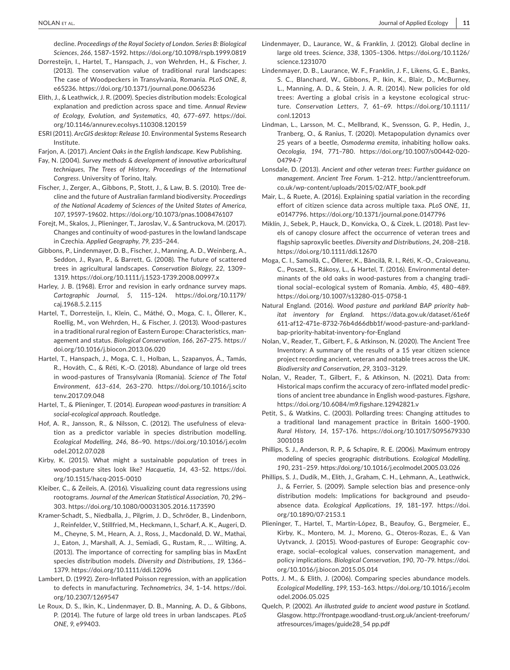decline. *Proceedings of the Royal Society of London. Series B: Biological Sciences*, *266*, 1587–1592. <https://doi.org/10.1098/rspb.1999.0819>

- Dorresteijn, I., Hartel, T., Hanspach, J., von Wehrden, H., & Fischer, J. (2013). The conservation value of traditional rural landscapes: The case of Woodpeckers in Transylvania, Romania. *PLoS ONE*, *8*, e65236.<https://doi.org/10.1371/journal.pone.0065236>
- Elith, J., & Leathwick, J. R. (2009). Species distribution models: Ecological explanation and prediction across space and time. *Annual Review of Ecology, Evolution, and Systematics*, *40*, 677–697. [https://doi.](https://doi.org/10.1146/annurev.ecolsys.110308.120159) [org/10.1146/annurev.ecolsys.110308.120159](https://doi.org/10.1146/annurev.ecolsys.110308.120159)
- ESRI (2011). *ArcGIS desktop: Release 10*. Environmental Systems Research Institute.

Farjon, A. (2017). *Ancient Oaks in the English landscape*. Kew Publishing.

- Fay, N. (2004). *Survey methods & development of innovative arboricultural techniques, The Trees of History, Proceedings of the International Congress*. University of Torino, Italy.
- Fischer, J., Zerger, A., Gibbons, P., Stott, J., & Law, B. S. (2010). Tree decline and the future of Australian farmland biodiversity. *Proceedings of the National Academy of Sciences of the United States of America*, *107*, 19597–19602.<https://doi.org/10.1073/pnas.1008476107>
- Forejt, M., Skalos, J., Plieninger, T., Jaroslav, V., & Santruckova, M. (2017). Changes and continuity of wood-pastures in the lowland landscape in Czechia. *Applied Geography*, *79*, 235–244.
- Gibbons, P., Lindenmayer, D. B., Fischer, J., Manning, A. D., Weinberg, A., Seddon, J., Ryan, P., & Barrett, G. (2008). The future of scattered trees in agricultural landscapes. *Conservation Biology*, *22*, 1309– 1319.<https://doi.org/10.1111/j.1523-1739.2008.00997.x>
- Harley, J. B. (1968). Error and revision in early ordnance survey maps. *Cartographic Journal*, *5*, 115–124. [https://doi.org/10.1179/](https://doi.org/10.1179/caj.1968.5.2.115) [caj.1968.5.2.115](https://doi.org/10.1179/caj.1968.5.2.115)
- Hartel, T., Dorresteijn, I., Klein, C., Máthé, O., Moga, C. I., Öllerer, K., Roellig, M., von Wehrden, H., & Fischer, J. (2013). Wood-pastures in a traditional rural region of Eastern Europe: Characteristics, management and status. *Biological Conservation*, *166*, 267–275. [https://](https://doi.org/10.1016/j.biocon.2013.06.020) [doi.org/10.1016/j.biocon.2013.06.020](https://doi.org/10.1016/j.biocon.2013.06.020)
- Hartel, T., Hanspach, J., Moga, C. I., Holban, L., Szapanyos, Á., Tamás, R., Hováth, C., & Réti, K.-O. (2018). Abundance of large old trees in wood-pastures of Transylvania (Romania). *Science of The Total Environment*, *613–614*, 263–270. [https://doi.org/10.1016/j.scito](https://doi.org/10.1016/j.scitotenv.2017.09.048) [tenv.2017.09.048](https://doi.org/10.1016/j.scitotenv.2017.09.048)
- Hartel, T., & Plieninger, T. (2014). *European wood-pastures in transition: A social-ecological approach*. Routledge.
- Hof, A. R., Jansson, R., & Nilsson, C. (2012). The usefulness of elevation as a predictor variable in species distribution modelling. *Ecological Modelling*, *246*, 86–90. [https://doi.org/10.1016/j.ecolm](https://doi.org/10.1016/j.ecolmodel.2012.07.028) [odel.2012.07.028](https://doi.org/10.1016/j.ecolmodel.2012.07.028)
- Kirby, K. (2015). What might a sustainable population of trees in wood-pasture sites look like? *Hacquetia*, *14*, 43–52. [https://doi.](https://doi.org/10.1515/hacq-2015-0010) [org/10.1515/hacq-2015-0010](https://doi.org/10.1515/hacq-2015-0010)
- Kleiber, C., & Zeileis, A. (2016). Visualizing count data regressions using rootograms. *Journal of the American Statistical Association*, *70*, 296– 303.<https://doi.org/10.1080/00031305.2016.1173590>
- Kramer-Schadt, S., Niedballa, J., Pilgrim, J. D., Schröder, B., Lindenborn, J., Reinfelder, V., Stillfried, M., Heckmann, I., Scharf, A. K., Augeri, D. M., Cheyne, S. M., Hearn, A. J., Ross, J., Macdonald, D. W., Mathai, J., Eaton, J., Marshall, A. J., Semiadi, G., Rustam, R., … Wilting, A. (2013). The importance of correcting for sampling bias in MaxEnt species distribution models. *Diversity and Distributions*, *19*, 1366– 1379.<https://doi.org/10.1111/ddi.12096>
- Lambert, D. (1992). Zero-Inflated Poisson regression, with an application to defects in manufacturing. *Technometrics*, *34*, 1–14. [https://doi.](https://doi.org/10.2307/1269547) [org/10.2307/1269547](https://doi.org/10.2307/1269547)
- Le Roux, D. S., Ikin, K., Lindenmayer, D. B., Manning, A. D., & Gibbons, P. (2014). The future of large old trees in urban landscapes. *PLoS ONE*, *9*, e99403.
- Lindenmayer, D., Laurance, W., & Franklin, J. (2012). Global decline in large old trees. *Science*, *338*, 1305–1306. [https://doi.org/10.1126/](https://doi.org/10.1126/science.1231070) [science.1231070](https://doi.org/10.1126/science.1231070)
- Lindenmayer, D. B., Laurance, W. F., Franklin, J. F., Likens, G. E., Banks, S. C., Blanchard, W., Gibbons, P., Ikin, K., Blair, D., McBurney, L., Manning, A. D., & Stein, J. A. R. (2014). New policies for old trees: Averting a global crisis in a keystone ecological structure. *Conservation Letters*, *7*, 61–69. [https://doi.org/10.1111/](https://doi.org/10.1111/conl.12013) [conl.12013](https://doi.org/10.1111/conl.12013)
- Lindman, L., Larsson, M. C., Mellbrand, K., Svensson, G. P., Hedin, J., Tranberg, O., & Ranius, T. (2020). Metapopulation dynamics over 25 years of a beetle, *Osmoderma eremita*, inhabiting hollow oaks. *Oecologia*, *194*, 771–780. [https://doi.org/10.1007/s00442-020-](https://doi.org/10.1007/s00442-020-04794-7) [04794-7](https://doi.org/10.1007/s00442-020-04794-7)
- Lonsdale, D. (2013). *Ancient and other veteran trees: Further guidance on management. Ancient Tree Forum*. 1–212. [http://ancienttreeforum.](http://ancienttreeforum.co.uk/wp-content/uploads/2015/02/ATF_book.pdf) [co.uk/wp-content/uploads/2015/02/ATF\\_book.pdf](http://ancienttreeforum.co.uk/wp-content/uploads/2015/02/ATF_book.pdf)
- Mair, L., & Ruete, A. (2016). Explaining spatial variation in the recording effort of citizen science data across multiple taxa. *PLoS ONE*, *11*, e0147796.<https://doi.org/10.1371/journal.pone.0147796>
- Miklín, J., Sebek, P., Hauck, D., Konvicka, O., & Cizek, L. (2018). Past levels of canopy closure affect the occurrence of veteran trees and flagship saproxylic beetles. *Diversity and Distributions*, *24*, 208–218. <https://doi.org/10.1111/ddi.12670>
- Moga, C. I., Samoilă, C., Öllerer, K., Băncilă, R. I., Réti, K.-O., Craioveanu, C., Poszet, S., Rákosy, L., & Hartel, T. (2016). Environmental determinants of the old oaks in wood-pastures from a changing traditional social–ecological system of Romania. *Ambio*, *45*, 480–489. <https://doi.org/10.1007/s13280-015-0758-1>
- Natural England. (2016). *Wood pasture and parkland BAP priority habitat inventory for England*. [https://data.gov.uk/dataset/61e6f](https://data.gov.uk/dataset/61e6f611-af12-471e-8732-76b4d66dbb1f/wood-pasture-and-parkland-bap-priority-habitat-inventory-for-England) [611-af12-471e-8732-76b4d66dbb1f/wood-pasture-and-parkland](https://data.gov.uk/dataset/61e6f611-af12-471e-8732-76b4d66dbb1f/wood-pasture-and-parkland-bap-priority-habitat-inventory-for-England)[bap-priority-habitat-inventory-for-England](https://data.gov.uk/dataset/61e6f611-af12-471e-8732-76b4d66dbb1f/wood-pasture-and-parkland-bap-priority-habitat-inventory-for-England)
- Nolan, V., Reader, T., Gilbert, F., & Atkinson, N. (2020). The Ancient Tree Inventory: A summary of the results of a 15 year citizen science project recording ancient, veteran and notable trees across the UK. *Biodiversity and Conservation*, *29*, 3103–3129.
- Nolan, V., Reader, T., Gilbert, F., & Atkinson, N. (2021). Data from: Historical maps confirm the accuracy of zero-inflated model predictions of ancient tree abundance in English wood-pastures. *Figshare*, <https://doi.org/10.6084/m9.figshare.12942821.v>
- Petit, S., & Watkins, C. (2003). Pollarding trees: Changing attitudes to a traditional land management practice in Britain 1600–1900. *Rural History*, *14*, 157–176. [https://doi.org/10.1017/S095679330](https://doi.org/10.1017/S0956793303001018) [3001018](https://doi.org/10.1017/S0956793303001018)
- Phillips, S. J., Anderson, R. P., & Schapire, R. E. (2006). Maximum entropy modeling of species geographic distributions. *Ecological Modelling*, *190*, 231–259. <https://doi.org/10.1016/j.ecolmodel.2005.03.026>
- Phillips, S. J., Dudík, M., Elith, J., Graham, C. H., Lehmann, A., Leathwick, J., & Ferrier, S. (2009). Sample selection bias and presence-only distribution models: Implications for background and pseudoabsence data. *Ecological Applications*, *19*, 181–197. [https://doi.](https://doi.org/10.1890/07-2153.1) [org/10.1890/07-2153.1](https://doi.org/10.1890/07-2153.1)
- Plieninger, T., Hartel, T., Martín-López, B., Beaufoy, G., Bergmeier, E., Kirby, K., Montero, M. J., Moreno, G., Oteros-Rozas, E., & Van Uytvanck, J. (2015). Wood-pastures of Europe: Geographic coverage, social–ecological values, conservation management, and policy implications. *Biological Conservation*, *190*, 70–79. [https://doi.](https://doi.org/10.1016/j.biocon.2015.05.014) [org/10.1016/j.biocon.2015.05.014](https://doi.org/10.1016/j.biocon.2015.05.014)
- Potts, J. M., & Elith, J. (2006). Comparing species abundance models. *Ecological Modelling*, *199*, 153–163. [https://doi.org/10.1016/j.ecolm](https://doi.org/10.1016/j.ecolmodel.2006.05.025) [odel.2006.05.025](https://doi.org/10.1016/j.ecolmodel.2006.05.025)
- Quelch, P. (2002). *An illustrated guide to ancient wood pasture in Scotland*. Glasgow. [http://frontpage.woodland-trust.org.uk/ancient-treeforum/](http://frontpage.woodland-trust.org.uk/ancient-treeforum/atfresources/images/guide28_54) [atfresources/images/guide28\\_54](http://frontpage.woodland-trust.org.uk/ancient-treeforum/atfresources/images/guide28_54) [pp.pdf](http://pp.pdf)